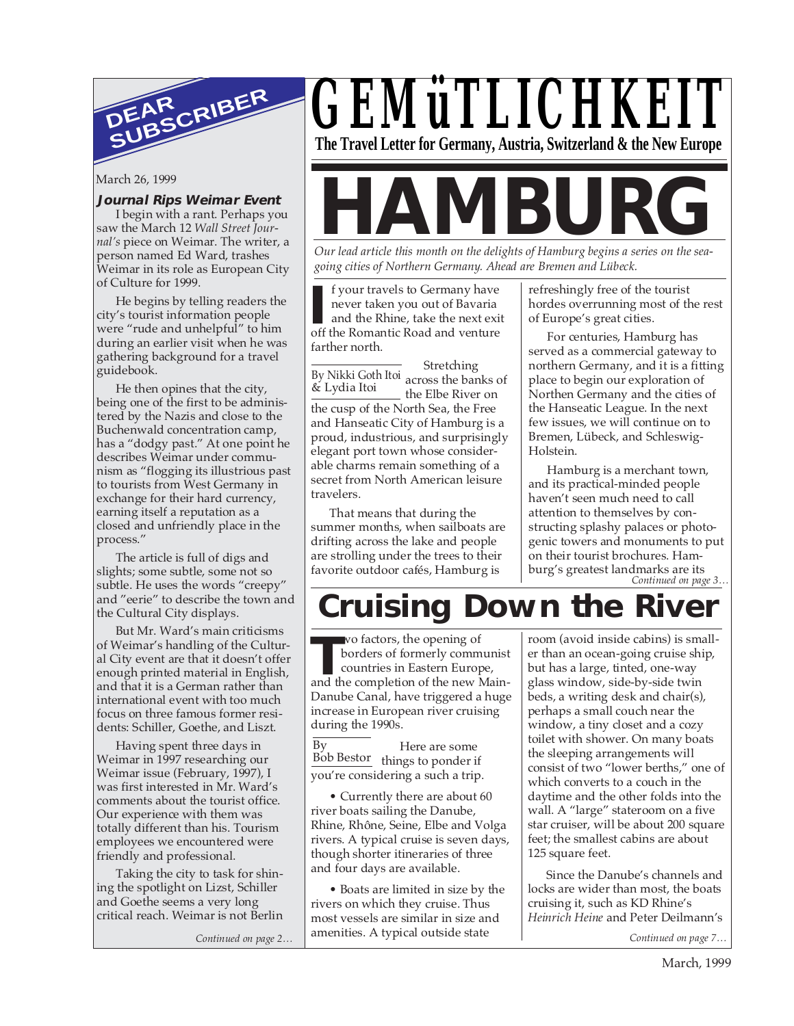

#### **Journal Rips Weimar Event**

I begin with a rant. Perhaps you saw the March 12 *Wall Street Journal's* piece on Weimar. The writer, a person named Ed Ward, trashes Weimar in its role as European City of Culture for 1999.

He begins by telling readers the city's tourist information people were "rude and unhelpful" to him during an earlier visit when he was gathering background for a travel guidebook.

He then opines that the city, being one of the first to be administered by the Nazis and close to the Buchenwald concentration camp, has a "dodgy past." At one point he describes Weimar under communism as "flogging its illustrious past to tourists from West Germany in exchange for their hard currency, earning itself a reputation as a closed and unfriendly place in the process."

The article is full of digs and slights; some subtle, some not so subtle. He uses the words "creepy" and "eerie" to describe the town and the Cultural City displays.

But Mr. Ward's main criticisms of Weimar's handling of the Cultural City event are that it doesn't offer enough printed material in English, and that it is a German rather than international event with too much focus on three famous former residents: Schiller, Goethe, and Liszt.

Having spent three days in Weimar in 1997 researching our Weimar issue (February, 1997), I was first interested in Mr. Ward's comments about the tourist office. Our experience with them was totally different than his. Tourism employees we encountered were friendly and professional.

Taking the city to task for shining the spotlight on Lizst, Schiller and Goethe seems a very long critical reach. Weimar is not Berlin

*Continued on page 2…*

# *GEMüTLICHKEIT* **The Travel Letter for Germany, Austria, Switzerland & the New Europe**

# March 26, 1999<br> **Journal Rips Weimar Event**<br> **Hammark, Perhaps you**<br>
Saw the March 12 Wall Street Jour-

*Our lead article this month on the delights of Hamburg begins a series on the seagoing cities of Northern Germany. Ahead are Bremen and Lübeck.*

**I** f your travels to Germany have never taken you out of Bavaria<br>and the Rhine, take the next exist<br>off the Romantic Road and venture f your travels to Germany have never taken you out of Bavaria and the Rhine, take the next exit farther north.

Stretching By Nikki Goth Itoi<br>e- Lydia Itoi the Elbe River on the cusp of the North Sea, the Free and Hanseatic City of Hamburg is a proud, industrious, and surprisingly elegant port town whose considerable charms remain something of a secret from North American leisure travelers. & Lydia Itoi

That means that during the summer months, when sailboats are drifting across the lake and people are strolling under the trees to their favorite outdoor cafés, Hamburg is

refreshingly free of the tourist hordes overrunning most of the rest of Europe's great cities.

For centuries, Hamburg has served as a commercial gateway to northern Germany, and it is a fitting place to begin our exploration of Northen Germany and the cities of the Hanseatic League. In the next few issues, we will continue on to Bremen, Lübeck, and Schleswig-Holstein.

*Continued on page 3…* Hamburg is a merchant town, and its practical-minded people haven't seen much need to call attention to themselves by constructing splashy palaces or photogenic towers and monuments to put on their tourist brochures. Hamburg's greatest landmarks are its

# **Cruising Down the River**

**THE WARE WE ARE SERVING THE CONSTRAINING TO A BOOT OF THE CONTROL AND THE CONTROL TO A BOOT A CONTROL TO A BOOT A BOOT A BOOT A BOOT A BOOT AND THE COMPLEMENT OF THE CONTROLL OF THE CONTROLL OF THE CONTROLL OF THE CONTROL** wo factors, the opening of borders of formerly communist countries in Eastern Europe, Danube Canal, have triggered a huge increase in European river cruising during the 1990s.

Here are some Bob Bestor things to ponder if you're considering a such a trip. By

• Currently there are about 60 river boats sailing the Danube, Rhine, Rhône, Seine, Elbe and Volga rivers. A typical cruise is seven days, though shorter itineraries of three and four days are available.

• Boats are limited in size by the rivers on which they cruise. Thus most vessels are similar in size and amenities. A typical outside state

room (avoid inside cabins) is smaller than an ocean-going cruise ship, but has a large, tinted, one-way glass window, side-by-side twin beds, a writing desk and chair(s), perhaps a small couch near the window, a tiny closet and a cozy toilet with shower. On many boats the sleeping arrangements will consist of two "lower berths," one of which converts to a couch in the daytime and the other folds into the wall. A "large" stateroom on a five star cruiser, will be about 200 square feet; the smallest cabins are about 125 square feet.

Since the Danube's channels and locks are wider than most, the boats cruising it, such as KD Rhine's *Heinrich Heine* and Peter Deilmann's

*Continued on page 7…*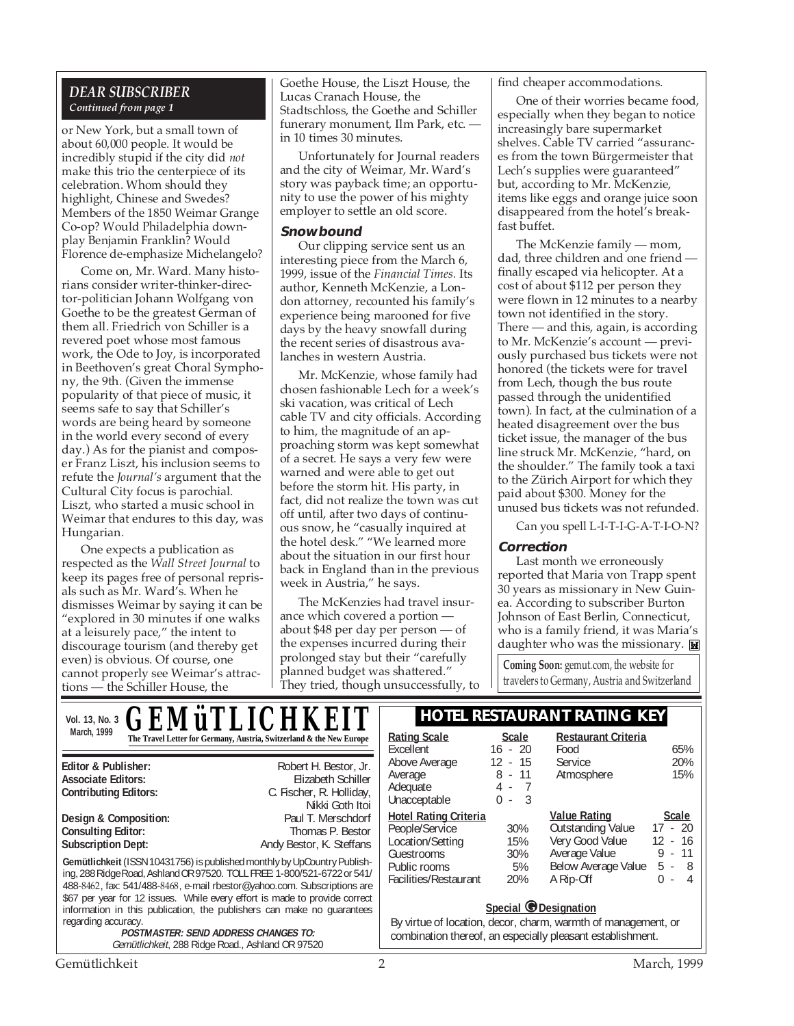#### *DEAR SUBSCRIBER Continued from page 1*

or New York, but a small town of about 60,000 people. It would be incredibly stupid if the city did *not* make this trio the centerpiece of its celebration. Whom should they highlight, Chinese and Swedes? Members of the 1850 Weimar Grange Co-op? Would Philadelphia downplay Benjamin Franklin? Would Florence de-emphasize Michelangelo?

Come on, Mr. Ward. Many historians consider writer-thinker-director-politician Johann Wolfgang von Goethe to be the greatest German of them all. Friedrich von Schiller is a revered poet whose most famous work, the Ode to Joy, is incorporated in Beethoven's great Choral Symphony, the 9th. (Given the immense popularity of that piece of music, it seems safe to say that Schiller's words are being heard by someone in the world every second of every day.) As for the pianist and composer Franz Liszt, his inclusion seems to refute the *Journal's* argument that the Cultural City focus is parochial. Liszt, who started a music school in Weimar that endures to this day, was Hungarian.

One expects a publication as respected as the *Wall Street Journal* to keep its pages free of personal reprisals such as Mr. Ward's. When he dismisses Weimar by saying it can be "explored in 30 minutes if one walks at a leisurely pace," the intent to discourage tourism (and thereby get even) is obvious. Of course, one cannot properly see Weimar's attractions — the Schiller House, the

Goethe House, the Liszt House, the Lucas Cranach House, the Stadtschloss, the Goethe and Schiller funerary monument, Ilm Park, etc. in 10 times 30 minutes.

Unfortunately for Journal readers and the city of Weimar, Mr. Ward's story was payback time; an opportunity to use the power of his mighty employer to settle an old score.

#### **Snowbound**

Our clipping service sent us an interesting piece from the March 6, 1999, issue of the *Financial Times.* Its author, Kenneth McKenzie, a London attorney, recounted his family's experience being marooned for five days by the heavy snowfall during the recent series of disastrous avalanches in western Austria.

Mr. McKenzie, whose family had chosen fashionable Lech for a week's ski vacation, was critical of Lech cable TV and city officials. According to him, the magnitude of an approaching storm was kept somewhat of a secret. He says a very few were warned and were able to get out before the storm hit. His party, in fact, did not realize the town was cut off until, after two days of continuous snow, he "casually inquired at the hotel desk." "We learned more about the situation in our first hour back in England than in the previous week in Austria," he says.

The McKenzies had travel insurance which covered a portion about \$48 per day per person — of the expenses incurred during their prolonged stay but their "carefully planned budget was shattered." They tried, though unsuccessfully, to find cheaper accommodations.

One of their worries became food, especially when they began to notice increasingly bare supermarket shelves. Cable TV carried "assurances from the town Bürgermeister that Lech's supplies were guaranteed" but, according to Mr. McKenzie, items like eggs and orange juice soon disappeared from the hotel's breakfast buffet.

The McKenzie family — mom, dad, three children and one friend finally escaped via helicopter. At a cost of about \$112 per person they were flown in 12 minutes to a nearby town not identified in the story. There — and this, again, is according to Mr. McKenzie's account — previously purchased bus tickets were not honored (the tickets were for travel from Lech, though the bus route passed through the unidentified town). In fact, at the culmination of a heated disagreement over the bus ticket issue, the manager of the bus line struck Mr. McKenzie, "hard, on the shoulder." The family took a taxi to the Zürich Airport for which they paid about \$300. Money for the unused bus tickets was not refunded.

Can you spell L-I-T-I-G-A-T-I-O-N?

#### **Correction**

Last month we erroneously reported that Maria von Trapp spent 30 years as missionary in New Guinea. According to subscriber Burton Johnson of East Berlin, Connecticut, who is a family friend, it was Maria's daughter who was the missionary.

**Coming Soon:** gemut.com, the website for travelers to Germany, Austria and Switzerland

**Gemütlichkeit** (ISSN 10431756) is published monthly by UpCountry Publishing, 288 Ridge Road, Ashland OR 97520. TOLL FREE: 1-800/521-6722 or 541/ 488-8462, fax: 541/488-8468, e-mail rbestor@yahoo.com. Subscriptions are \$67 per year for 12 issues. While every effort is made to provide correct **Editor & Publisher:** Robert H. Bestor, Jr. **Associate Editors:** Elizabeth Schiller **C. Fischer, R. Holliday, C. Fischer, R. Holliday,** Nikki Goth Itoi **Design & Composition:** Paul T. Merschdorf Consulting Editor: Paul T. Merschdorf Consulting Editor: **Consulting Editor: Subscription Dept:** Andy Bestor, K. Steffans March, 1999<br> **The Travel Letter for Germany, Austria, Switzerland & the New Europe** | Rating Scale Scale *GEMÜLLICHKEI* 

information in this publication, the publishers can make no guarantees

**POSTMASTER: SEND ADDRESS CHANGES TO:** Gemütlichkeit, 288 Ridge Road., Ashland OR 97520

## Vol. 13, No. 3 **CEMITI ICHIKEIT** HOTEL RESTAURANT RATING KEY

| <b>Scale</b>                 | <b>Restaurant Criteria</b> |                     |
|------------------------------|----------------------------|---------------------|
| $16 - 20$                    | Food                       | 65%                 |
| $12 - 15$                    | Service                    | 20%                 |
| $8 - 11$                     | Atmosphere                 | 15%                 |
| $4 - 7$                      |                            |                     |
| $0 -$                        |                            |                     |
| <b>Hotel Rating Criteria</b> | <b>Value Rating</b>        | <b>Scale</b>        |
| 30%                          | Outstanding Value          | $17 - 20$           |
| 15%                          | Very Good Value            | $12 - 16$           |
| 30%                          | Average Value              | $-11$<br>9          |
| 5%                           |                            | $5 -$<br>- 8        |
| 20%                          | A Rip-Off                  | 4<br>L              |
|                              | $\overline{\mathbf{3}}$    | Below Average Value |

#### **Special ©** Designation

By virtue of location, decor, charm, warmth of management, or combination thereof, an especially pleasant establishment.

regarding accuracy.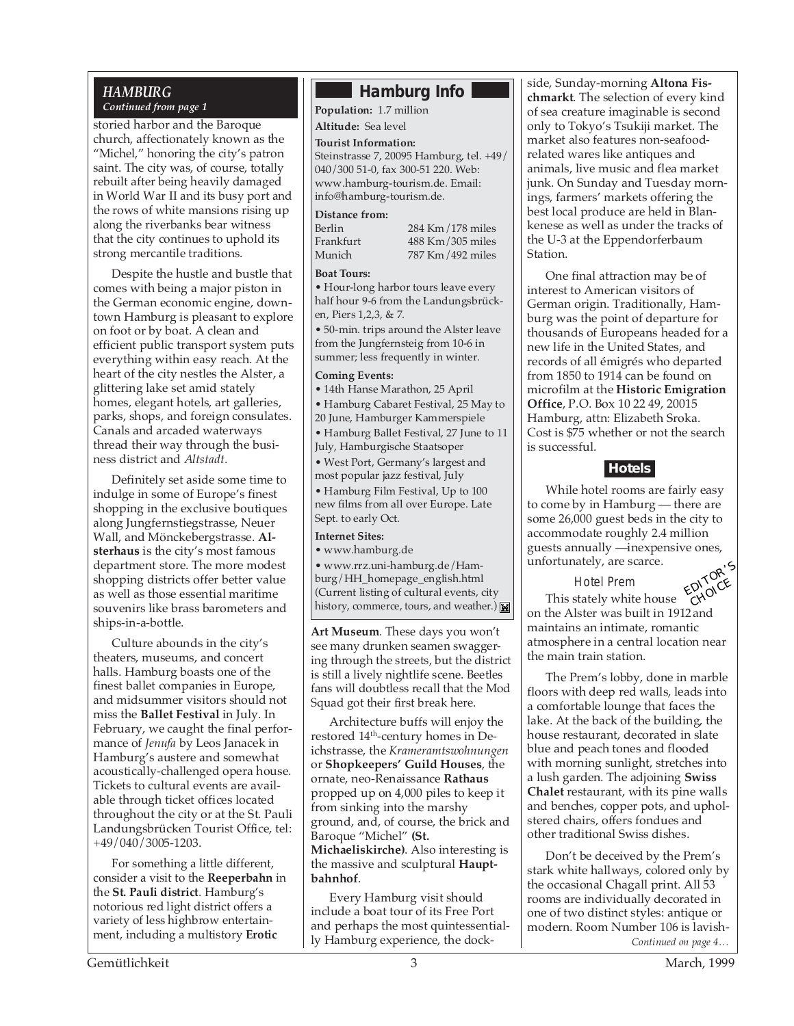## *HAMBURG*

*Continued from page 1*

storied harbor and the Baroque church, affectionately known as the "Michel," honoring the city's patron saint. The city was, of course, totally rebuilt after being heavily damaged in World War II and its busy port and the rows of white mansions rising up along the riverbanks bear witness that the city continues to uphold its strong mercantile traditions.

Despite the hustle and bustle that comes with being a major piston in the German economic engine, downtown Hamburg is pleasant to explore on foot or by boat. A clean and efficient public transport system puts everything within easy reach. At the heart of the city nestles the Alster, a glittering lake set amid stately homes, elegant hotels, art galleries, parks, shops, and foreign consulates. Canals and arcaded waterways thread their way through the business district and *Altstadt*.

Definitely set aside some time to indulge in some of Europe's finest shopping in the exclusive boutiques along Jungfernstiegstrasse, Neuer Wall, and Mönckebergstrasse. **Alsterhaus** is the city's most famous department store. The more modest shopping districts offer better value as well as those essential maritime souvenirs like brass barometers and ships-in-a-bottle.

Culture abounds in the city's theaters, museums, and concert halls. Hamburg boasts one of the finest ballet companies in Europe, and midsummer visitors should not miss the **Ballet Festival** in July. In February, we caught the final performance of *Jenufa* by Leos Janacek in Hamburg's austere and somewhat acoustically-challenged opera house. Tickets to cultural events are available through ticket offices located throughout the city or at the St. Pauli Landungsbrücken Tourist Office, tel: +49/040/3005-1203.

For something a little different, consider a visit to the **Reeperbahn** in the **St. Pauli district**. Hamburg's notorious red light district offers a variety of less highbrow entertainment, including a multistory **Erotic**

# **Hamburg Info**

**Population:** 1.7 million

**Altitude:** Sea level

#### **Tourist Information:**

Steinstrasse 7, 20095 Hamburg, tel. +49/ 040/300 51-0, fax 300-51 220. Web: www.hamburg-tourism.de. Email: info@hamburg-tourism.de.

#### **Distance from:**

| Berlin    | $284$ Km $/178$ miles |
|-----------|-----------------------|
| Frankfurt | 488 Km / 305 miles    |
| Munich    | 787 Km/492 miles      |

#### **Boat Tours:**

• Hour-long harbor tours leave every half hour 9-6 from the Landungsbrücken, Piers 1,2,3, & 7.

• 50-min. trips around the Alster leave from the Jungfernsteig from 10-6 in summer; less frequently in winter.

#### **Coming Events:**

• 14th Hanse Marathon, 25 April

• Hamburg Cabaret Festival, 25 May to

20 June, Hamburger Kammerspiele • Hamburg Ballet Festival, 27 June to 11 July, Hamburgische Staatsoper

• West Port, Germany's largest and most popular jazz festival, July

• Hamburg Film Festival, Up to 100 new films from all over Europe. Late Sept. to early Oct.

#### **Internet Sites:**

• www.hamburg.de

• www.rrz.uni-hamburg.de/Hamburg/HH\_homepage\_english.html (Current listing of cultural events, city history, commerce, tours, and weather.)

**Art Museum**. These days you won't see many drunken seamen swaggering through the streets, but the district is still a lively nightlife scene. Beetles fans will doubtless recall that the Mod Squad got their first break here.

Architecture buffs will enjoy the restored 14<sup>th</sup>-century homes in Deichstrasse, the *Krameramtswohnungen* or **Shopkeepers' Guild Houses**, the ornate, neo-Renaissance **Rathaus** propped up on 4,000 piles to keep it from sinking into the marshy ground, and, of course, the brick and Baroque "Michel" **(St. Michaeliskirche)**. Also interesting is the massive and sculptural **Hauptbahnhof**.

Every Hamburg visit should include a boat tour of its Free Port and perhaps the most quintessentially Hamburg experience, the dock-

side, Sunday-morning **Altona Fischmarkt**. The selection of every kind of sea creature imaginable is second only to Tokyo's Tsukiji market. The market also features non-seafoodrelated wares like antiques and animals, live music and flea market junk. On Sunday and Tuesday mornings, farmers' markets offering the best local produce are held in Blankenese as well as under the tracks of the U-3 at the Eppendorferbaum Station.

One final attraction may be of interest to American visitors of German origin. Traditionally, Hamburg was the point of departure for thousands of Europeans headed for a new life in the United States, and records of all émigrés who departed from 1850 to 1914 can be found on microfilm at the **Historic Emigration Office**, P.O. Box 10 22 49, 20015 Hamburg, attn: Elizabeth Sroka. Cost is \$75 whether or not the search is successful.

### **Hotels**

While hotel rooms are fairly easy to come by in Hamburg — there are some 26,000 guest beds in the city to accommodate roughly 2.4 million guests annually —inexpensive ones, unfortunately, are scarce.

Hotel Prem



This stately white house on the Alster was built in 1912and maintains an intimate, romantic atmosphere in a central location near the main train station.

The Prem's lobby, done in marble floors with deep red walls, leads into a comfortable lounge that faces the lake. At the back of the building, the house restaurant, decorated in slate blue and peach tones and flooded with morning sunlight, stretches into a lush garden. The adjoining **Swiss Chalet** restaurant, with its pine walls and benches, copper pots, and upholstered chairs, offers fondues and other traditional Swiss dishes.

*Continued on page 4…* Don't be deceived by the Prem's stark white hallways, colored only by the occasional Chagall print. All 53 rooms are individually decorated in one of two distinct styles: antique or modern. Room Number 106 is lavish-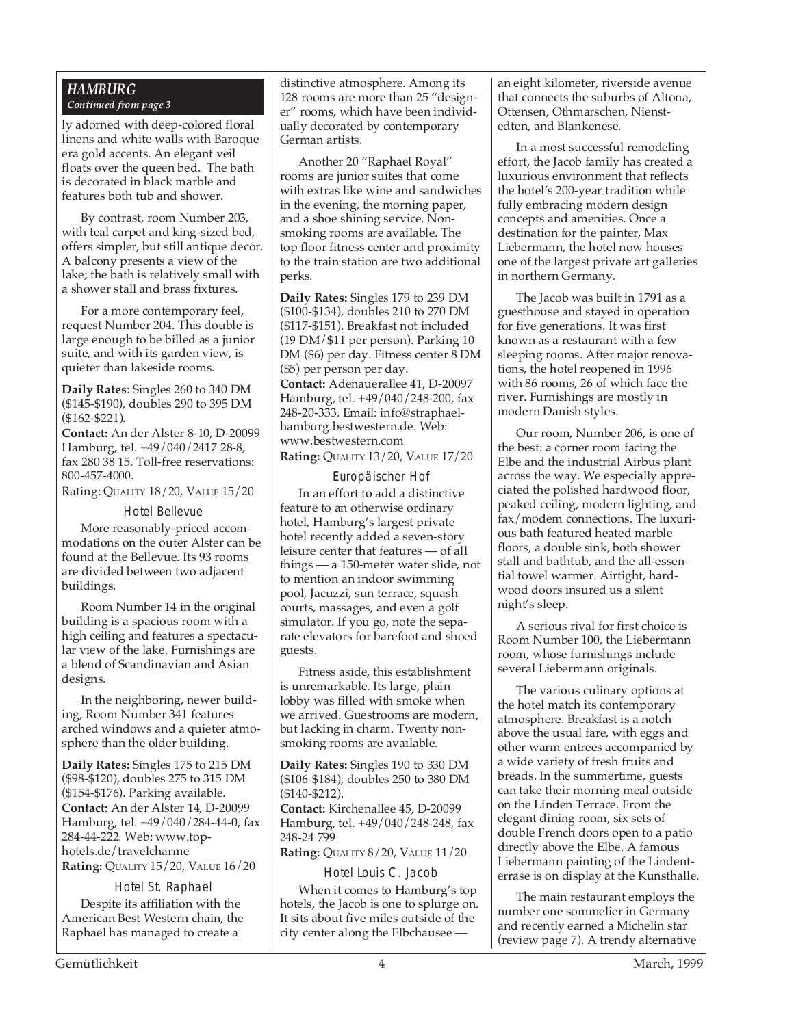#### *HAMBURG Continued from page 3*

ly adorned with deep-colored floral linens and white walls with Baroque era gold accents. An elegant veil floats over the queen bed. The bath is decorated in black marble and features both tub and shower.

By contrast, room Number 203, with teal carpet and king-sized bed, offers simpler, but still antique decor. A balcony presents a view of the lake; the bath is relatively small with a shower stall and brass fixtures.

For a more contemporary feel, request Number 204. This double is large enough to be billed as a junior suite, and with its garden view, is quieter than lakeside rooms.

**Daily Rates**: Singles 260 to 340 DM (\$145-\$190), doubles 290 to 395 DM (\$162-\$221).

**Contact:** An der Alster 8-10, D-20099 Hamburg, tel. +49/040/2417 28-8, fax 280 38 15. Toll-free reservations: 800-457-4000.

Rating: QUALITY 18/20, VALUE 15/20

#### Hotel Bellevue

More reasonably-priced accommodations on the outer Alster can be found at the Bellevue. Its 93 rooms are divided between two adjacent buildings.

Room Number 14 in the original building is a spacious room with a high ceiling and features a spectacular view of the lake. Furnishings are a blend of Scandinavian and Asian designs.

In the neighboring, newer building, Room Number 341 features arched windows and a quieter atmosphere than the older building.

**Daily Rates:** Singles 175 to 215 DM (\$98-\$120), doubles 275 to 315 DM (\$154-\$176). Parking available. **Contact:** An der Alster 14, D-20099 Hamburg, tel. +49/040/284-44-0, fax 284-44-222. Web: www.tophotels.de/travelcharme **Rating:** QUALITY 15/20, VALUE 16/20

#### Hotel St. Raphael

Despite its affiliation with the American Best Western chain, the Raphael has managed to create a

distinctive atmosphere. Among its 128 rooms are more than 25 "designer" rooms, which have been individually decorated by contemporary German artists.

Another 20 "Raphael Royal" rooms are junior suites that come with extras like wine and sandwiches in the evening, the morning paper, and a shoe shining service. Nonsmoking rooms are available. The top floor fitness center and proximity to the train station are two additional perks.

**Daily Rates:** Singles 179 to 239 DM (\$100-\$134), doubles 210 to 270 DM (\$117-\$151). Breakfast not included (19 DM/\$11 per person). Parking 10 DM (\$6) per day. Fitness center 8 DM (\$5) per person per day. **Contact:** Adenauerallee 41, D-20097 Hamburg, tel. +49/040/248-200, fax 248-20-333. Email: info@straphaelhamburg.bestwestern.de. Web: www.bestwestern.com **Rating:** QUALITY 13/20, VALUE 17/20

#### Europäischer Hof

In an effort to add a distinctive feature to an otherwise ordinary hotel, Hamburg's largest private hotel recently added a seven-story leisure center that features — of all things — a 150-meter water slide, not to mention an indoor swimming pool, Jacuzzi, sun terrace, squash courts, massages, and even a golf simulator. If you go, note the separate elevators for barefoot and shoed guests.

Fitness aside, this establishment is unremarkable. Its large, plain lobby was filled with smoke when we arrived. Guestrooms are modern, but lacking in charm. Twenty nonsmoking rooms are available.

**Daily Rates:** Singles 190 to 330 DM (\$106-\$184), doubles 250 to 380 DM (\$140-\$212).

**Contact:** Kirchenallee 45, D-20099 Hamburg, tel. +49/040/248-248, fax 248-24 799

**Rating:** QUALITY 8/20, VALUE 11/20

Hotel Louis C. Jacob

When it comes to Hamburg's top hotels, the Jacob is one to splurge on. It sits about five miles outside of the city center along the Elbchausee —

an eight kilometer, riverside avenue that connects the suburbs of Altona, Ottensen, Othmarschen, Nienstedten, and Blankenese.

In a most successful remodeling effort, the Jacob family has created a luxurious environment that reflects the hotel's 200-year tradition while fully embracing modern design concepts and amenities. Once a destination for the painter, Max Liebermann, the hotel now houses one of the largest private art galleries in northern Germany.

The Jacob was built in 1791 as a guesthouse and stayed in operation for five generations. It was first known as a restaurant with a few sleeping rooms. After major renovations, the hotel reopened in 1996 with 86 rooms, 26 of which face the river. Furnishings are mostly in modern Danish styles.

Our room, Number 206, is one of the best: a corner room facing the Elbe and the industrial Airbus plant across the way. We especially appreciated the polished hardwood floor, peaked ceiling, modern lighting, and fax/modem connections. The luxurious bath featured heated marble floors, a double sink, both shower stall and bathtub, and the all-essential towel warmer. Airtight, hardwood doors insured us a silent night's sleep.

A serious rival for first choice is Room Number 100, the Liebermann room, whose furnishings include several Liebermann originals.

The various culinary options at the hotel match its contemporary atmosphere. Breakfast is a notch above the usual fare, with eggs and other warm entrees accompanied by a wide variety of fresh fruits and breads. In the summertime, guests can take their morning meal outside on the Linden Terrace. From the elegant dining room, six sets of double French doors open to a patio directly above the Elbe. A famous Liebermann painting of the Lindenterrase is on display at the Kunsthalle.

The main restaurant employs the number one sommelier in Germany and recently earned a Michelin star (review page 7). A trendy alternative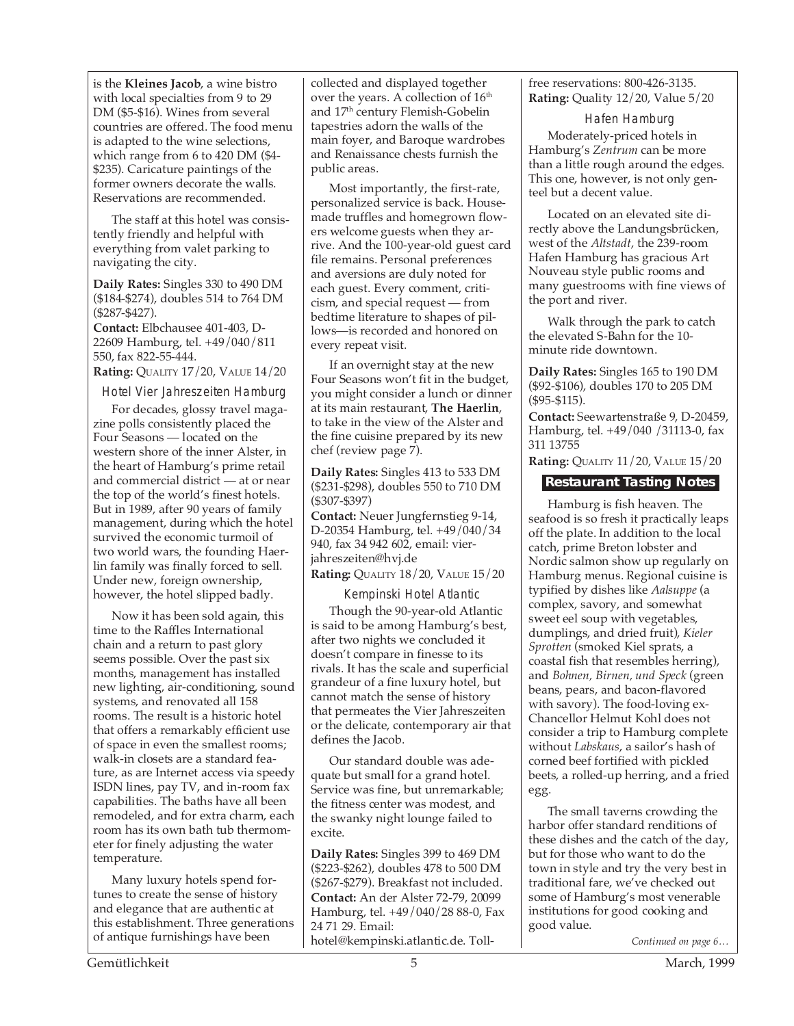is the **Kleines Jacob**, a wine bistro with local specialties from 9 to 29 DM (\$5-\$16). Wines from several countries are offered. The food menu is adapted to the wine selections, which range from 6 to 420 DM (\$4- \$235). Caricature paintings of the former owners decorate the walls. Reservations are recommended.

The staff at this hotel was consistently friendly and helpful with everything from valet parking to navigating the city.

**Daily Rates:** Singles 330 to 490 DM (\$184-\$274), doubles 514 to 764 DM (\$287-\$427).

**Contact:** Elbchausee 401-403, D-22609 Hamburg, tel. +49/040/811 550, fax 822-55-444.

**Rating:** QUALITY 17/20, VALUE 14/20

Hotel Vier Jahreszeiten Hamburg

For decades, glossy travel magazine polls consistently placed the Four Seasons — located on the western shore of the inner Alster, in the heart of Hamburg's prime retail and commercial district — at or near the top of the world's finest hotels. But in 1989, after 90 years of family management, during which the hotel survived the economic turmoil of two world wars, the founding Haerlin family was finally forced to sell. Under new, foreign ownership, however, the hotel slipped badly.

Now it has been sold again, this time to the Raffles International chain and a return to past glory seems possible. Over the past six months, management has installed new lighting, air-conditioning, sound systems, and renovated all 158 rooms. The result is a historic hotel that offers a remarkably efficient use of space in even the smallest rooms; walk-in closets are a standard feature, as are Internet access via speedy ISDN lines, pay TV, and in-room fax capabilities. The baths have all been remodeled, and for extra charm, each room has its own bath tub thermometer for finely adjusting the water temperature.

Many luxury hotels spend fortunes to create the sense of history and elegance that are authentic at this establishment. Three generations of antique furnishings have been

collected and displayed together over the years. A collection of 16<sup>th</sup> and 17th century Flemish-Gobelin tapestries adorn the walls of the main foyer, and Baroque wardrobes and Renaissance chests furnish the public areas.

Most importantly, the first-rate, personalized service is back. Housemade truffles and homegrown flowers welcome guests when they arrive. And the 100-year-old guest card file remains. Personal preferences and aversions are duly noted for each guest. Every comment, criticism, and special request — from bedtime literature to shapes of pillows—is recorded and honored on every repeat visit.

If an overnight stay at the new Four Seasons won't fit in the budget, you might consider a lunch or dinner at its main restaurant, **The Haerlin**, to take in the view of the Alster and the fine cuisine prepared by its new chef (review page 7).

**Daily Rates:** Singles 413 to 533 DM (\$231-\$298), doubles 550 to 710 DM (\$307-\$397)

**Contact:** Neuer Jungfernstieg 9-14, D-20354 Hamburg, tel. +49/040/34 940, fax 34 942 602, email: vierjahreszeiten@hvj.de

**Rating: QUALITY 18/20, VALUE 15/20** 

Kempinski Hotel Atlantic

Though the 90-year-old Atlantic is said to be among Hamburg's best, after two nights we concluded it doesn't compare in finesse to its rivals. It has the scale and superficial grandeur of a fine luxury hotel, but cannot match the sense of history that permeates the Vier Jahreszeiten or the delicate, contemporary air that defines the Jacob.

Our standard double was adequate but small for a grand hotel. Service was fine, but unremarkable; the fitness center was modest, and the swanky night lounge failed to excite.

**Daily Rates:** Singles 399 to 469 DM (\$223-\$262), doubles 478 to 500 DM (\$267-\$279). Breakfast not included. **Contact:** An der Alster 72-79, 20099 Hamburg, tel. +49/040/28 88-0, Fax 24 71 29. Email: hotel@kempinski.atlantic.de. Tollfree reservations: 800-426-3135. **Rating:** Quality 12/20, Value 5/20

#### Hafen Hamburg Moderately-priced hotels in Hamburg's *Zentrum* can be more than a little rough around the edges. This one, however, is not only genteel but a decent value.

Located on an elevated site directly above the Landungsbrücken, west of the *Altstadt*, the 239-room Hafen Hamburg has gracious Art Nouveau style public rooms and many guestrooms with fine views of the port and river.

Walk through the park to catch the elevated S-Bahn for the 10 minute ride downtown.

**Daily Rates:** Singles 165 to 190 DM (\$92-\$106), doubles 170 to 205 DM (\$95-\$115).

**Contact:** Seewartenstraße 9, D-20459, Hamburg, tel. +49/040 /31113-0, fax 311 13755

**Rating:** QUALITY 11/20, VALUE 15/20

#### **Restaurant Tasting Notes**

Hamburg is fish heaven. The seafood is so fresh it practically leaps off the plate. In addition to the local catch, prime Breton lobster and Nordic salmon show up regularly on Hamburg menus. Regional cuisine is typified by dishes like *Aalsuppe* (a complex, savory, and somewhat sweet eel soup with vegetables, dumplings, and dried fruit), *Kieler Sprotten* (smoked Kiel sprats, a coastal fish that resembles herring), and *Bohnen, Birnen, und Speck* (green beans, pears, and bacon-flavored with savory). The food-loving ex-Chancellor Helmut Kohl does not consider a trip to Hamburg complete without *Labskaus*, a sailor's hash of corned beef fortified with pickled beets, a rolled-up herring, and a fried egg.

The small taverns crowding the harbor offer standard renditions of these dishes and the catch of the day, but for those who want to do the town in style and try the very best in traditional fare, we've checked out some of Hamburg's most venerable institutions for good cooking and good value.

*Continued on page 6…*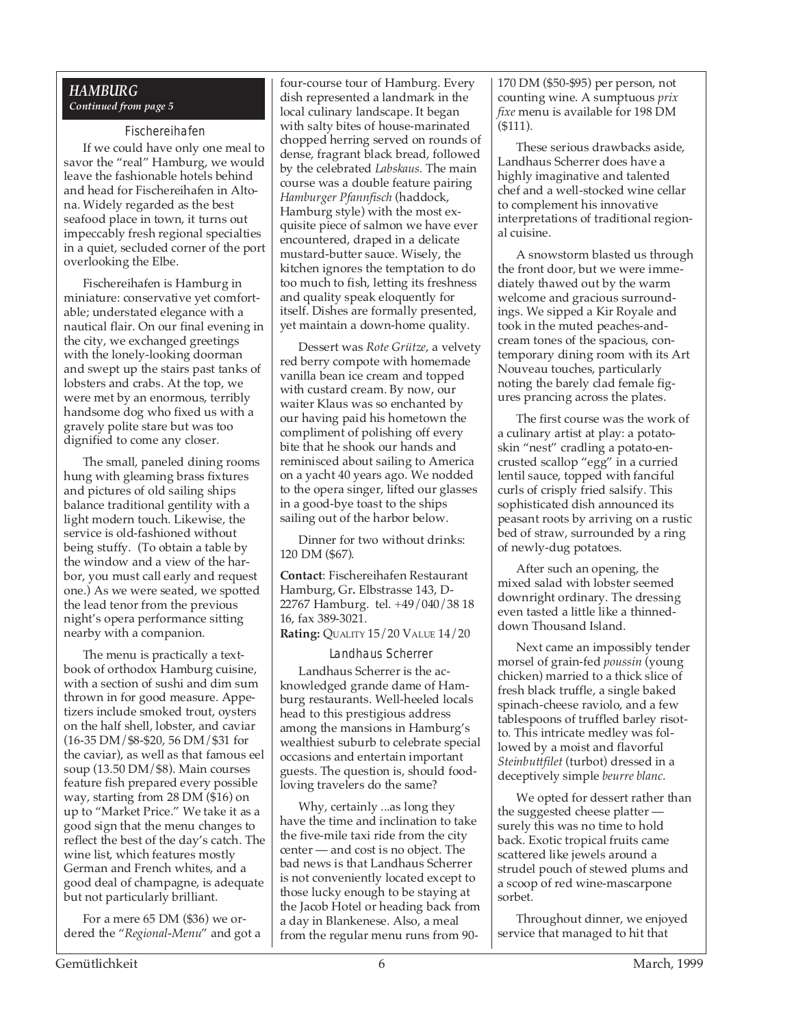#### *HAMBURG Continued from page 5*

#### Fischereihafen

If we could have only one meal to savor the "real" Hamburg, we would leave the fashionable hotels behind and head for Fischereihafen in Altona. Widely regarded as the best seafood place in town, it turns out impeccably fresh regional specialties in a quiet, secluded corner of the port overlooking the Elbe.

Fischereihafen is Hamburg in miniature: conservative yet comfortable; understated elegance with a nautical flair. On our final evening in the city, we exchanged greetings with the lonely-looking doorman and swept up the stairs past tanks of lobsters and crabs. At the top, we were met by an enormous, terribly handsome dog who fixed us with a gravely polite stare but was too dignified to come any closer.

The small, paneled dining rooms hung with gleaming brass fixtures and pictures of old sailing ships balance traditional gentility with a light modern touch. Likewise, the service is old-fashioned without being stuffy. (To obtain a table by the window and a view of the harbor, you must call early and request one.) As we were seated, we spotted the lead tenor from the previous night's opera performance sitting nearby with a companion.

The menu is practically a textbook of orthodox Hamburg cuisine, with a section of sushi and dim sum thrown in for good measure. Appetizers include smoked trout, oysters on the half shell, lobster, and caviar (16-35 DM/\$8-\$20, 56 DM/\$31 for the caviar), as well as that famous eel soup (13.50 DM/\$8). Main courses feature fish prepared every possible way, starting from 28 DM (\$16) on up to "Market Price." We take it as a good sign that the menu changes to reflect the best of the day's catch. The wine list, which features mostly German and French whites, and a good deal of champagne, is adequate but not particularly brilliant.

For a mere 65 DM (\$36) we ordered the "*Regional-Menu*" and got a

four-course tour of Hamburg. Every dish represented a landmark in the local culinary landscape. It began with salty bites of house-marinated chopped herring served on rounds of dense, fragrant black bread, followed by the celebrated *Labskaus.* The main course was a double feature pairing *Hamburger Pfannfisch* (haddock, Hamburg style) with the most exquisite piece of salmon we have ever encountered, draped in a delicate mustard-butter sauce. Wisely, the kitchen ignores the temptation to do too much to fish, letting its freshness and quality speak eloquently for itself. Dishes are formally presented, yet maintain a down-home quality.

Dessert was *Rote Grütze*, a velvety red berry compote with homemade vanilla bean ice cream and topped with custard cream. By now, our waiter Klaus was so enchanted by our having paid his hometown the compliment of polishing off every bite that he shook our hands and reminisced about sailing to America on a yacht 40 years ago. We nodded to the opera singer, lifted our glasses in a good-bye toast to the ships sailing out of the harbor below.

Dinner for two without drinks: 120 DM (\$67).

**Contact**: Fischereihafen Restaurant Hamburg, Gr**.** Elbstrasse 143, D-22767 Hamburg. tel. +49/040/38 18 16, fax 389-3021.

**Rating:** QUALITY 15/20 VALUE 14/20

Landhaus Scherrer Landhaus Scherrer is the acknowledged grande dame of Hamburg restaurants. Well-heeled locals head to this prestigious address among the mansions in Hamburg's wealthiest suburb to celebrate special occasions and entertain important guests. The question is, should foodloving travelers do the same?

Why, certainly ...as long they have the time and inclination to take the five-mile taxi ride from the city center — and cost is no object. The bad news is that Landhaus Scherrer is not conveniently located except to those lucky enough to be staying at the Jacob Hotel or heading back from a day in Blankenese. Also, a meal from the regular menu runs from 90170 DM (\$50-\$95) per person, not counting wine. A sumptuous *prix fixe* menu is available for 198 DM (\$111).

These serious drawbacks aside, Landhaus Scherrer does have a highly imaginative and talented chef and a well-stocked wine cellar to complement his innovative interpretations of traditional regional cuisine.

A snowstorm blasted us through the front door, but we were immediately thawed out by the warm welcome and gracious surroundings. We sipped a Kir Royale and took in the muted peaches-andcream tones of the spacious, contemporary dining room with its Art Nouveau touches, particularly noting the barely clad female figures prancing across the plates.

The first course was the work of a culinary artist at play: a potatoskin "nest" cradling a potato-encrusted scallop "egg" in a curried lentil sauce, topped with fanciful curls of crisply fried salsify. This sophisticated dish announced its peasant roots by arriving on a rustic bed of straw, surrounded by a ring of newly-dug potatoes.

After such an opening, the mixed salad with lobster seemed downright ordinary. The dressing even tasted a little like a thinneddown Thousand Island.

Next came an impossibly tender morsel of grain-fed *poussin* (young chicken) married to a thick slice of fresh black truffle, a single baked spinach-cheese raviolo, and a few tablespoons of truffled barley risotto. This intricate medley was followed by a moist and flavorful *Steinbuttfilet* (turbot) dressed in a deceptively simple *beurre blanc*.

We opted for dessert rather than the suggested cheese platter surely this was no time to hold back. Exotic tropical fruits came scattered like jewels around a strudel pouch of stewed plums and a scoop of red wine-mascarpone sorbet.

Throughout dinner, we enjoyed service that managed to hit that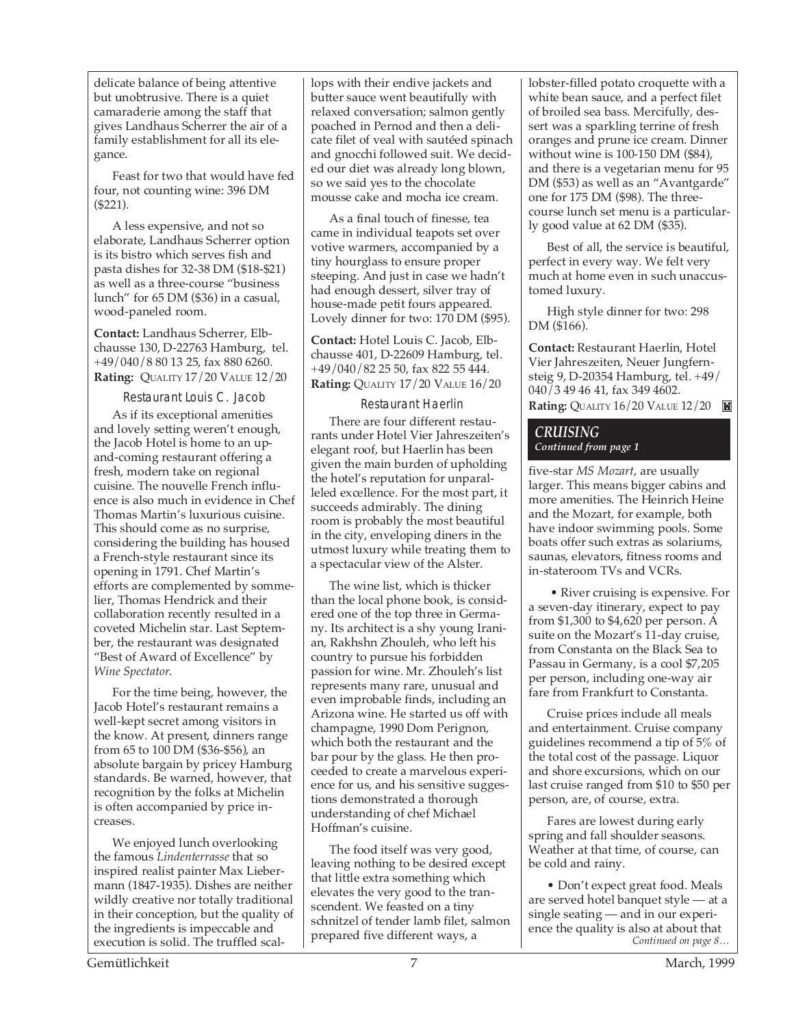delicate balance of being attentive but unobtrusive. There is a quiet camaraderie among the staff that gives Landhaus Scherrer the air of a family establishment for all its elegance.

Feast for two that would have fed four, not counting wine: 396 DM (\$221).

A less expensive, and not so elaborate, Landhaus Scherrer option is its bistro which serves fish and pasta dishes for 32-38 DM (\$18-\$21) as well as a three-course "business lunch" for 65 DM (\$36) in a casual, wood-paneled room.

**Contact:** Landhaus Scherrer, Elbchausse 130, D-22763 Hamburg, tel. +49/040/8 80 13 25, fax 880 6260. **Rating:** QUALITY 17/20 VALUE 12/20

Restaurant Louis C. Jacob

As if its exceptional amenities and lovely setting weren't enough, the Jacob Hotel is home to an upand-coming restaurant offering a fresh, modern take on regional cuisine. The nouvelle French influence is also much in evidence in Chef Thomas Martin's luxurious cuisine. This should come as no surprise, considering the building has housed a French-style restaurant since its opening in 1791. Chef Martin's efforts are complemented by sommelier, Thomas Hendrick and their collaboration recently resulted in a coveted Michelin star. Last September, the restaurant was designated "Best of Award of Excellence" by *Wine Spectator*.

For the time being, however, the Jacob Hotel's restaurant remains a well-kept secret among visitors in the know. At present, dinners range from 65 to 100 DM (\$36-\$56), an absolute bargain by pricey Hamburg standards. Be warned, however, that recognition by the folks at Michelin is often accompanied by price increases.

We enjoyed lunch overlooking the famous *Lindenterrasse* that so inspired realist painter Max Liebermann (1847-1935). Dishes are neither wildly creative nor totally traditional in their conception, but the quality of the ingredients is impeccable and execution is solid. The truffled scallops with their endive jackets and butter sauce went beautifully with relaxed conversation; salmon gently poached in Pernod and then a delicate filet of veal with sautéed spinach and gnocchi followed suit. We decided our diet was already long blown, so we said yes to the chocolate mousse cake and mocha ice cream.

As a final touch of finesse, tea came in individual teapots set over votive warmers, accompanied by a tiny hourglass to ensure proper steeping. And just in case we hadn't had enough dessert, silver tray of house-made petit fours appeared. Lovely dinner for two: 170 DM (\$95).

**Contact:** Hotel Louis C. Jacob, Elbchausse 401, D-22609 Hamburg, tel. +49/040/82 25 50, fax 822 55 444. **Rating:** QUALITY 17/20 VALUE 16/20

#### Restaurant Haerlin

There are four different restaurants under Hotel Vier Jahreszeiten's elegant roof, but Haerlin has been given the main burden of upholding the hotel's reputation for unparalleled excellence. For the most part, it succeeds admirably. The dining room is probably the most beautiful in the city, enveloping diners in the utmost luxury while treating them to a spectacular view of the Alster.

The wine list, which is thicker than the local phone book, is considered one of the top three in Germany. Its architect is a shy young Iranian, Rakhshn Zhouleh, who left his country to pursue his forbidden passion for wine. Mr. Zhouleh's list represents many rare, unusual and even improbable finds, including an Arizona wine. He started us off with champagne, 1990 Dom Perignon, which both the restaurant and the bar pour by the glass. He then proceeded to create a marvelous experience for us, and his sensitive suggestions demonstrated a thorough understanding of chef Michael Hoffman's cuisine.

The food itself was very good, leaving nothing to be desired except that little extra something which elevates the very good to the transcendent. We feasted on a tiny schnitzel of tender lamb filet, salmon prepared five different ways, a

lobster-filled potato croquette with a white bean sauce, and a perfect filet of broiled sea bass. Mercifully, dessert was a sparkling terrine of fresh oranges and prune ice cream. Dinner without wine is 100-150 DM (\$84), and there is a vegetarian menu for 95 DM (\$53) as well as an "Avantgarde" one for 175 DM (\$98). The threecourse lunch set menu is a particularly good value at 62 DM (\$35).

Best of all, the service is beautiful, perfect in every way. We felt very much at home even in such unaccustomed luxury.

High style dinner for two: 298 DM (\$166).

**Contact:** Restaurant Haerlin, Hotel Vier Jahreszeiten, Neuer Jungfernsteig 9, D-20354 Hamburg, tel. +49/ 040/3 49 46 41, fax 349 4602. **Rating:** QUALITY 16/20 VALUE 12/20

#### *CRUISING Continued from page 1*

five-star *MS Mozart*, are usually larger. This means bigger cabins and more amenities. The Heinrich Heine and the Mozart, for example, both have indoor swimming pools. Some boats offer such extras as solariums, saunas, elevators, fitness rooms and in-stateroom TVs and VCRs.

 • River cruising is expensive. For a seven-day itinerary, expect to pay from \$1,300 to \$4,620 per person. A suite on the Mozart's 11-day cruise, from Constanta on the Black Sea to Passau in Germany, is a cool \$7,205 per person, including one-way air fare from Frankfurt to Constanta.

Cruise prices include all meals and entertainment. Cruise company guidelines recommend a tip of 5% of the total cost of the passage. Liquor and shore excursions, which on our last cruise ranged from \$10 to \$50 per person, are, of course, extra.

Fares are lowest during early spring and fall shoulder seasons. Weather at that time, of course, can be cold and rainy.

*Continued on page 8…* • Don't expect great food. Meals are served hotel banquet style — at a single seating — and in our experience the quality is also at about that